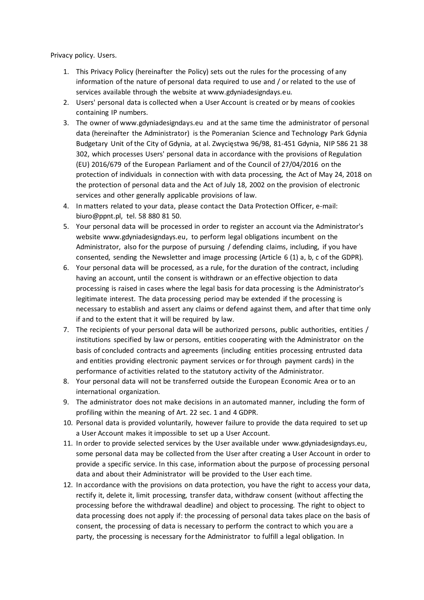Privacy policy. Users.

- 1. This Privacy Policy (hereinafter the Policy) sets out the rules for the processing of any information of the nature of personal data required to use and / or related to the use of services available through the website at www.gdyniadesigndays.eu.
- 2. Users' personal data is collected when a User Account is created or by means of cookies containing IP numbers.
- 3. The owner of www.gdyniadesigndays.eu and at the same time the administrator of personal data (hereinafter the Administrator) is the Pomeranian Science and Technology Park Gdynia Budgetary Unit of the City of Gdynia, at al. Zwycięstwa 96/98, 81-451 Gdynia, NIP 586 21 38 302, which processes Users' personal data in accordance with the provisions of Regulation (EU) 2016/679 of the European Parliament and of the Council of 27/04/2016 on the protection of individuals in connection with with data processing, the Act of May 24, 2018 on the protection of personal data and the Act of July 18, 2002 on the provision of electronic services and other generally applicable provisions of law.
- 4. In matters related to your data, please contact the Data Protection Officer, e-mail: biuro@ppnt.pl, tel. 58 880 81 50.
- 5. Your personal data will be processed in order to register an account via the Administrator's website www.gdyniadesigndays.eu, to perform legal obligations incumbent on the Administrator, also for the purpose of pursuing / defending claims, including, if you have consented, sending the Newsletter and image processing (Article 6 (1) a, b, c of the GDPR).
- 6. Your personal data will be processed, as a rule, for the duration of the contract, including having an account, until the consent is withdrawn or an effective objection to data processing is raised in cases where the legal basis for data processing is the Administrator's legitimate interest. The data processing period may be extended if the processing is necessary to establish and assert any claims or defend against them, and after that time only if and to the extent that it will be required by law.
- 7. The recipients of your personal data will be authorized persons, public authorities, entities / institutions specified by law or persons, entities cooperating with the Administrator on the basis of concluded contracts and agreements (including entities processing entrusted data and entities providing electronic payment services or for through payment cards) in the performance of activities related to the statutory activity of the Administrator.
- 8. Your personal data will not be transferred outside the European Economic Area or to an international organization.
- 9. The administrator does not make decisions in an automated manner, including the form of profiling within the meaning of Art. 22 sec. 1 and 4 GDPR.
- 10. Personal data is provided voluntarily, however failure to provide the data required to set up a User Account makes it impossible to set up a User Account.
- 11. In order to provide selected services by the User available under www.gdyniadesigndays.eu, some personal data may be collected from the User after creating a User Account in order to provide a specific service. In this case, information about the purpose of processing personal data and about their Administrator will be provided to the User each time.
- 12. In accordance with the provisions on data protection, you have the right to access your data, rectify it, delete it, limit processing, transfer data, withdraw consent (without affecting the processing before the withdrawal deadline) and object to processing. The right to object to data processing does not apply if: the processing of personal data takes place on the basis of consent, the processing of data is necessary to perform the contract to which you are a party, the processing is necessary for the Administrator to fulfill a legal obligation. In